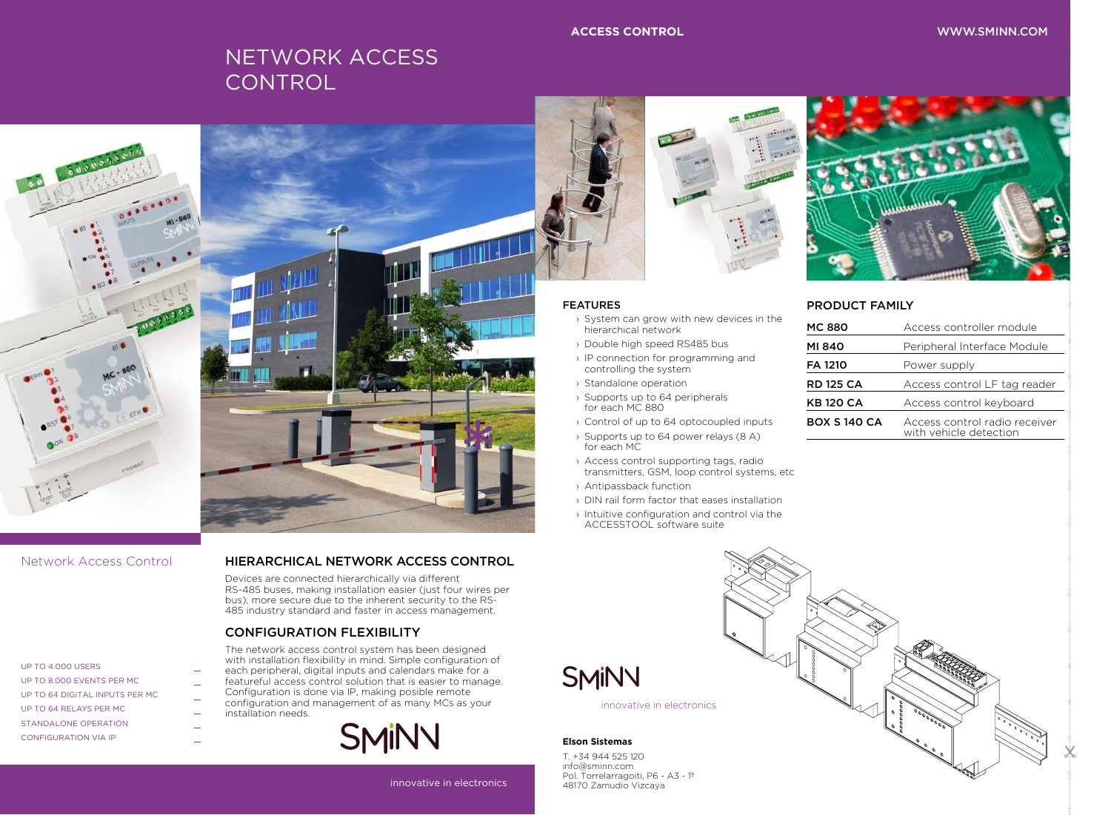### innovative in electronics

# **BOX M** WWW.SMINN.COM



### **ACCESS CONTROL**

# NETWORK ACCESS **CONTROL**





### **Elson Sistemas**

T. +34 944 525 120 info@sminn.com Pol. Torrelarragoiti, P6 - A3 - 1º 48170 Zamudio Vizcaya

innovative in electronics

### FEATURES

- › System can grow with new devices in the hierarchical network
- › Double high speed RS485 bus
- › IP connection for programming and controlling the system
- › Standalone operation
- › Supports up to 64 peripherals for each MC 880
- › Control of up to 64 optocoupled inputs
- › Supports up to 64 power relays (8 A) for each MC
- › Access control supporting tags, radio transmitters, GSM, loop control systems, etc
- › Antipassback function
- › DIN rail form factor that eases installation
- › Intuitive configuration and control via the ACCESSTOOL software suite

**SMINN** 

## Network Access Control

| UP TO 4.000 USERS              |
|--------------------------------|
| UP TO 8.000 EVENTS PER MC      |
| UP TO 64 DIGITAL INPUTS PER MC |
| UP TO 64 RFLAYS PFR MC         |
| STANDALONE OPERATION           |
| <b>CONFIGURATION VIA IP</b>    |

### HIERARCHICAL NETWORK ACCESS CONTROL

Devices are connected hierarchically via different RS-485 buses, making installation easier (just four wires per bus), more secure due to the inherent security to the RS-485 industry standard and faster in access management.

# CONFIGURATION FLEXIBILITY

The network access control system has been designed with installation flexibility in mind. Simple configuration of each peripheral, digital inputs and calendars make for a featureful access control solution that is easier to manage. Configuration is done via IP, making posible remote configuration and management of as many MCs as your installation needs.





# PRODUCT FAMILY

| <b>MC 880</b>      | Access controller module                                |
|--------------------|---------------------------------------------------------|
| MI 840             | Peripheral Interface Module                             |
| <b>FA 1210</b>     | Power supply                                            |
| <b>RD 125 CA</b>   | Access control LF tag reader                            |
| <b>KB120 CA</b>    | Access control keyboard                                 |
| <b>BOX S140 CA</b> | Access control radio receiver<br>with vehicle detection |
|                    |                                                         |